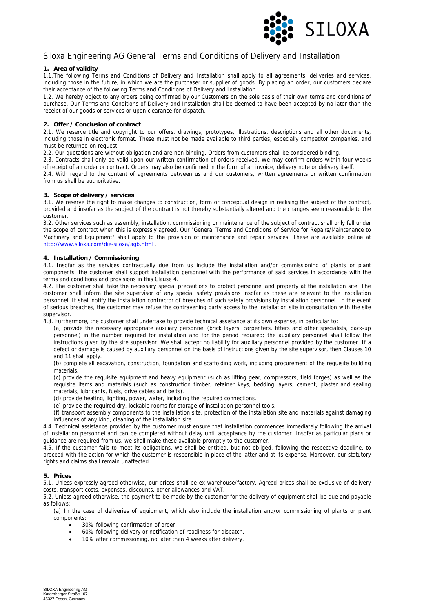

# Siloxa Engineering AG General Terms and Conditions of Delivery and Installation

# **1. Area of validity**

1.1.The following Terms and Conditions of Delivery and Installation shall apply to all agreements, deliveries and services, including those in the future, in which we are the purchaser or supplier of goods. By placing an order, our customers declare their acceptance of the following Terms and Conditions of Delivery and Installation.

1.2. We hereby object to any orders being confirmed by our Customers on the sole basis of their own terms and conditions of purchase. Our Terms and Conditions of Delivery and Installation shall be deemed to have been accepted by no later than the receipt of our goods or services or upon clearance for dispatch.

# **2. Offer / Conclusion of contract**

2.1. We reserve title and copyright to our offers, drawings, prototypes, illustrations, descriptions and all other documents, including those in electronic format. These must not be made available to third parties, especially competitor companies, and must be returned on request.

2.2. Our quotations are without obligation and are non-binding. Orders from customers shall be considered binding.

2.3. Contracts shall only be valid upon our written confirmation of orders received. We may confirm orders within four weeks of receipt of an order or contract. Orders may also be confirmed in the form of an invoice, delivery note or delivery itself.

2.4. With regard to the content of agreements between us and our customers, written agreements or written confirmation from us shall be authoritative.

# **3. Scope of delivery / services**

3.1. We reserve the right to make changes to construction, form or conceptual design in realising the subject of the contract, provided and insofar as the subject of the contract is not thereby substantially altered and the changes seem reasonable to the customer.

3.2. Other services such as assembly, installation, commissioning or maintenance of the subject of contract shall only fall under the scope of contract when this is expressly agreed. Our "General Terms and Conditions of Service for Repairs/Maintenance to Machinery and Equipment" shall apply to the provision of maintenance and repair services. These are available online at http://www.siloxa.com/die-siloxa/agb.html .

# **4. Installation / Commissioning**

4.1. Insofar as the services contractually due from us include the installation and/or commissioning of plants or plant components, the customer shall support installation personnel with the performance of said services in accordance with the terms and conditions and provisions in this Clause 4.

4.2. The customer shall take the necessary special precautions to protect personnel and property at the installation site. The customer shall inform the site supervisor of any special safety provisions insofar as these are relevant to the installation personnel. It shall notify the installation contractor of breaches of such safety provisions by installation personnel. In the event of serious breaches, the customer may refuse the contravening party access to the installation site in consultation with the site supervisor.

4.3. Furthermore, the customer shall undertake to provide technical assistance at its own expense, in particular to:

(a) provide the necessary appropriate auxiliary personnel (brick layers, carpenters, fitters and other specialists, back-up personnel) in the number required for installation and for the period required; the auxiliary personnel shall follow the instructions given by the site supervisor. We shall accept no liability for auxiliary personnel provided by the customer. If a defect or damage is caused by auxiliary personnel on the basis of instructions given by the site supervisor, then Clauses 10 and 11 shall apply.

(b) complete all excavation, construction, foundation and scaffolding work, including procurement of the requisite building materials.

(c) provide the requisite equipment and heavy equipment (such as lifting gear, compressors, field forges) as well as the requisite items and materials (such as construction timber, retainer keys, bedding layers, cement, plaster and sealing materials, lubricants, fuels, drive cables and belts).

(d) provide heating, lighting, power, water, including the required connections.

(e) provide the required dry, lockable rooms for storage of installation personnel tools.

(f) transport assembly components to the installation site, protection of the installation site and materials against damaging influences of any kind, cleaning of the installation site.

4.4. Technical assistance provided by the customer must ensure that installation commences immediately following the arrival of installation personnel and can be completed without delay until acceptance by the customer. Insofar as particular plans or guidance are required from us, we shall make these available promptly to the customer.

4.5. If the customer fails to meet its obligations, we shall be entitled, but not obliged, following the respective deadline, to proceed with the action for which the customer is responsible in place of the latter and at its expense. Moreover, our statutory rights and claims shall remain unaffected.

#### **5. Prices**

5.1. Unless expressly agreed otherwise, our prices shall be ex warehouse/factory. Agreed prices shall be exclusive of delivery costs, transport costs, expenses, discounts, other allowances and VAT.

5.2. Unless agreed otherwise, the payment to be made by the customer for the delivery of equipment shall be due and payable as follows:

(a) In the case of deliveries of equipment, which also include the installation and/or commissioning of plants or plant components:

- 30% following confirmation of order
- 60% following delivery or notification of readiness for dispatch,
- 10% after commissioning, no later than 4 weeks after delivery.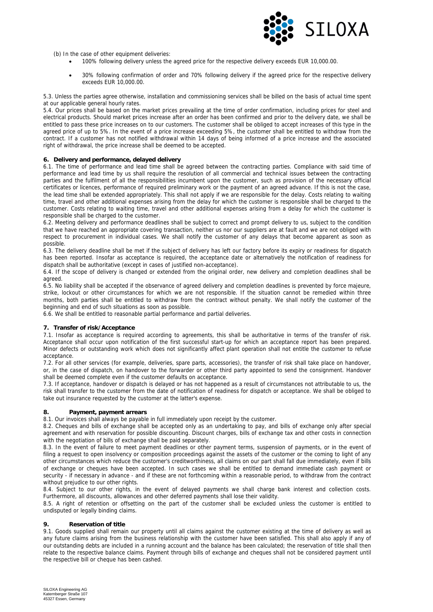

(b) In the case of other equipment deliveries:

- 100% following delivery unless the agreed price for the respective delivery exceeds EUR 10,000.00.
- 30% following confirmation of order and 70% following delivery if the agreed price for the respective delivery exceeds EUR 10,000.00.

5.3. Unless the parties agree otherwise, installation and commissioning services shall be billed on the basis of actual time spent at our applicable general hourly rates.

5.4. Our prices shall be based on the market prices prevailing at the time of order confirmation, including prices for steel and electrical products. Should market prices increase after an order has been confirmed and prior to the delivery date, we shall be entitled to pass these price increases on to our customers. The customer shall be obliged to accept increases of this type in the agreed price of up to 5%. In the event of a price increase exceeding 5%, the customer shall be entitled to withdraw from the contract. If a customer has not notified withdrawal within 14 days of being informed of a price increase and the associated right of withdrawal, the price increase shall be deemed to be accepted.

#### **6. Delivery and performance, delayed delivery**

6.1. The time of performance and lead time shall be agreed between the contracting parties. Compliance with said time of performance and lead time by us shall require the resolution of all commercial and technical issues between the contracting parties and the fulfilment of all the responsibilities incumbent upon the customer, such as provision of the necessary official certificates or licences, performance of required preliminary work or the payment of an agreed advance. If this is not the case, the lead time shall be extended appropriately. This shall not apply if we are responsible for the delay. Costs relating to waiting time, travel and other additional expenses arising from the delay for which the customer is responsible shall be charged to the customer. Costs relating to waiting time, travel and other additional expenses arising from a delay for which the customer is responsible shall be charged to the customer.

6.2. Meeting delivery and performance deadlines shall be subject to correct and prompt delivery to us, subject to the condition that we have reached an appropriate covering transaction, neither us nor our suppliers are at fault and we are not obliged with respect to procurement in individual cases. We shall notify the customer of any delays that become apparent as soon as possible.

6.3. The delivery deadline shall be met if the subject of delivery has left our factory before its expiry or readiness for dispatch has been reported. Insofar as acceptance is required, the acceptance date or alternatively the notification of readiness for dispatch shall be authoritative (except in cases of justified non-acceptance).

6.4. If the scope of delivery is changed or extended from the original order, new delivery and completion deadlines shall be agreed.

6.5. No liability shall be accepted if the observance of agreed delivery and completion deadlines is prevented by force majeure, strike, lockout or other circumstances for which we are not responsible. If the situation cannot be remedied within three months, both parties shall be entitled to withdraw from the contract without penalty. We shall notify the customer of the beginning and end of such situations as soon as possible.

6.6. We shall be entitled to reasonable partial performance and partial deliveries.

#### **7. Transfer of risk/Acceptance**

7.1. Insofar as acceptance is required according to agreements, this shall be authoritative in terms of the transfer of risk. Acceptance shall occur upon notification of the first successful start-up for which an acceptance report has been prepared. Minor defects or outstanding work which does not significantly affect plant operation shall not entitle the customer to refuse acceptance.

7.2. For all other services (for example, deliveries, spare parts, accessories), the transfer of risk shall take place on handover, or, in the case of dispatch, on handover to the forwarder or other third party appointed to send the consignment. Handover shall be deemed complete even if the customer defaults on acceptance.

7.3. If acceptance, handover or dispatch is delayed or has not happened as a result of circumstances not attributable to us, the risk shall transfer to the customer from the date of notification of readiness for dispatch or acceptance. We shall be obliged to take out insurance requested by the customer at the latter's expense.

#### **8. Payment, payment arrears**

8.1. Our invoices shall always be payable in full immediately upon receipt by the customer.

8.2. Cheques and bills of exchange shall be accepted only as an undertaking to pay, and bills of exchange only after special agreement and with reservation for possible discounting. Discount charges, bills of exchange tax and other costs in connection with the negotiation of bills of exchange shall be paid separately.

8.3. In the event of failure to meet payment deadlines or other payment terms, suspension of payments, or in the event of filing a request to open insolvency or composition proceedings against the assets of the customer or the coming to light of any other circumstances which reduce the customer's creditworthiness, all claims on our part shall fall due immediately, even if bills of exchange or cheques have been accepted. In such cases we shall be entitled to demand immediate cash payment or security - if necessary in advance - and if these are not forthcoming within a reasonable period, to withdraw from the contract without prejudice to our other rights.

8.4. Subject to our other rights, in the event of delayed payments we shall charge bank interest and collection costs. Furthermore, all discounts, allowances and other deferred payments shall lose their validity.

8.5. A right of retention or offsetting on the part of the customer shall be excluded unless the customer is entitled to undisputed or legally binding claims.

### **9. Reservation of title**

9.1. Goods supplied shall remain our property until all claims against the customer existing at the time of delivery as well as any future claims arising from the business relationship with the customer have been satisfied. This shall also apply if any of our outstanding debts are included in a running account and the balance has been calculated; the reservation of title shall then relate to the respective balance claims. Payment through bills of exchange and cheques shall not be considered payment until the respective bill or cheque has been cashed.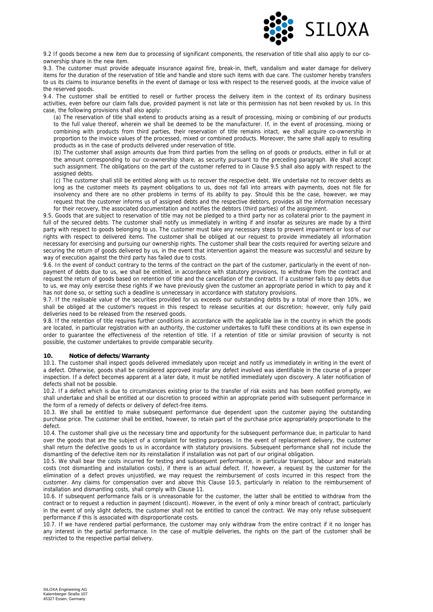

9.2 If goods become a new item due to processing of significant components, the reservation of title shall also apply to our coownership share in the new item.

9.3. The customer must provide adequate insurance against fire, break-in, theft, vandalism and water damage for delivery items for the duration of the reservation of title and handle and store such items with due care. The customer hereby transfers to us its claims to insurance benefits in the event of damage or loss with respect to the reserved goods, at the invoice value of the reserved goods.

9.4. The customer shall be entitled to resell or further process the delivery item in the context of its ordinary business activities, even before our claim falls due, provided payment is not late or this permission has not been revoked by us. In this case, the following provisions shall also apply:

(a) The reservation of title shall extend to products arising as a result of processing, mixing or combining of our products to the full value thereof, wherein we shall be deemed to be the manufacturer. If, in the event of processing, mixing or combining with products from third parties, their reservation of title remains intact, we shall acquire co-ownership in proportion to the invoice values of the processed, mixed or combined products. Moreover, the same shall apply to resulting products as in the case of products delivered under reservation of title.

(b) The customer shall assign amounts due from third parties from the selling on of goods or products, either in full or at the amount corresponding to our co-ownership share, as security pursuant to the preceding paragraph. We shall accept such assignment. The obligations on the part of the customer referred to in Clause 9.5 shall also apply with respect to the assigned debts.

(c) The customer shall still be entitled along with us to recover the respective debt. We undertake not to recover debts as long as the customer meets its payment obligations to us, does not fall into arrears with payments, does not file for insolvency and there are no other problems in terms of its ability to pay. Should this be the case, however, we may request that the customer informs us of assigned debts and the respective debtors, provides all the information necessary for their recovery, the associated documentation and notifies the debtors (third parties) of the assignment.

9.5. Goods that are subject to reservation of title may not be pledged to a third party nor as collateral prior to the payment in full of the secured debts. The customer shall notify us immediately in writing if and insofar as seizures are made by a third party with respect to goods belonging to us. The customer must take any necessary steps to prevent impairment or loss of our rights with respect to delivered items. The customer shall be obliged at our request to provide immediately all information necessary for exercising and pursuing our ownership rights. The customer shall bear the costs required for averting seizure and securing the return of goods delivered by us, in the event that intervention against the measure was successful and seizure by way of execution against the third party has failed due to costs.

9.6. In the event of conduct contrary to the terms of the contract on the part of the customer, particularly in the event of nonpayment of debts due to us, we shall be entitled, in accordance with statutory provisions, to withdraw from the contract and request the return of goods based on retention of title and the cancellation of the contract. If a customer fails to pay debts due to us, we may only exercise these rights if we have previously given the customer an appropriate period in which to pay and it has not done so, or setting such a deadline is unnecessary in accordance with statutory provisions.

9.7. If the realisable value of the securities provided for us exceeds our outstanding debts by a total of more than 10%, we shall be obliged at the customer's request in this respect to release securities at our discretion; however, only fully paid deliveries need to be released from the reserved goods.

9.8. If the retention of title requires further conditions in accordance with the applicable law in the country in which the goods are located, in particular registration with an authority, the customer undertakes to fulfil these conditions at its own expense in order to guarantee the effectiveness of the retention of title. If a retention of title or similar provision of security is not possible, the customer undertakes to provide comparable security.

#### **10. Notice of defects/Warranty**

10.1. The customer shall inspect goods delivered immediately upon receipt and notify us immediately in writing in the event of a defect. Otherwise, goods shall be considered approved insofar any defect involved was identifiable in the course of a proper inspection. If a defect becomes apparent at a later date, it must be notified immediately upon discovery. A later notification of defects shall not be possible.

10.2. If a defect which is due to circumstances existing prior to the transfer of risk exists and has been notified promptly, we shall undertake and shall be entitled at our discretion to proceed within an appropriate period with subsequent performance in the form of a remedy of defects or delivery of defect-free items.

10.3. We shall be entitled to make subsequent performance due dependent upon the customer paying the outstanding purchase price. The customer shall be entitled, however, to retain part of the purchase price appropriately proportionate to the defect.

10.4. The customer shall give us the necessary time and opportunity for the subsequent performance due, in particular to hand over the goods that are the subject of a complaint for testing purposes. In the event of replacement delivery, the customer shall return the defective goods to us in accordance with statutory provisions. Subsequent performance shall not include the dismantling of the defective item nor its reinstallation if installation was not part of our original obligation.

10.5. We shall bear the costs incurred for testing and subsequent performance, in particular transport, labour and materials costs (not dismantling and installation costs), if there is an actual defect. If, however, a request by the customer for the elimination of a defect proves unjustified, we may request the reimbursement of costs incurred in this respect from the customer. Any claims for compensation over and above this Clause 10.5, particularly in relation to the reimbursement of installation and dismantling costs, shall comply with Clause 11.

10.6. If subsequent performance fails or is unreasonable for the customer, the latter shall be entitled to withdraw from the contract or to request a reduction in payment (discount). However, in the event of only a minor breach of contract, particularly in the event of only slight defects, the customer shall not be entitled to cancel the contract. We may only refuse subsequent performance if this is associated with disproportionate costs.

10.7. If we have rendered partial performance, the customer may only withdraw from the entire contract if it no longer has any interest in the partial performance. In the case of multiple deliveries, the rights on the part of the customer shall be restricted to the respective partial delivery.